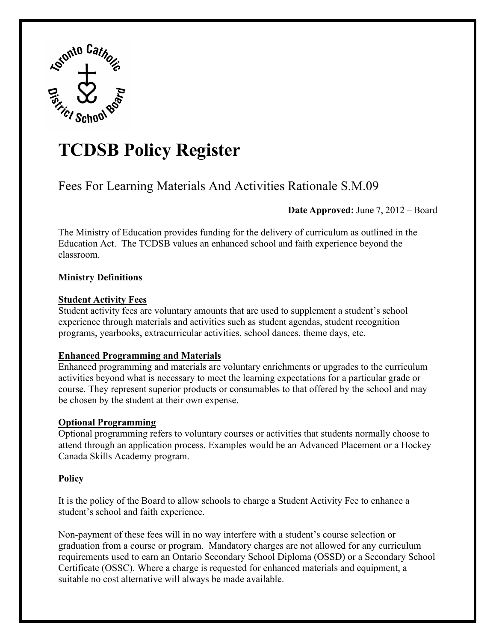

# **TCDSB Policy Register**

## Fees For Learning Materials And Activities Rationale S.M.09

**Date Approved:** June 7, 2012 – Board

The Ministry of Education provides funding for the delivery of curriculum as outlined in the Education Act. The TCDSB values an enhanced school and faith experience beyond the classroom.

### **Ministry Definitions**

#### **Student Activity Fees**

Student activity fees are voluntary amounts that are used to supplement a student's school experience through materials and activities such as student agendas, student recognition programs, yearbooks, extracurricular activities, school dances, theme days, etc.

#### **Enhanced Programming and Materials**

Enhanced programming and materials are voluntary enrichments or upgrades to the curriculum activities beyond what is necessary to meet the learning expectations for a particular grade or course. They represent superior products or consumables to that offered by the school and may be chosen by the student at their own expense.

#### **Optional Programming**

Optional programming refers to voluntary courses or activities that students normally choose to attend through an application process. Examples would be an Advanced Placement or a Hockey Canada Skills Academy program.

#### **Policy**

It is the policy of the Board to allow schools to charge a Student Activity Fee to enhance a student's school and faith experience.

Non-payment of these fees will in no way interfere with a student's course selection or graduation from a course or program. Mandatory charges are not allowed for any curriculum requirements used to earn an Ontario Secondary School Diploma (OSSD) or a Secondary School Certificate (OSSC). Where a charge is requested for enhanced materials and equipment, a suitable no cost alternative will always be made available.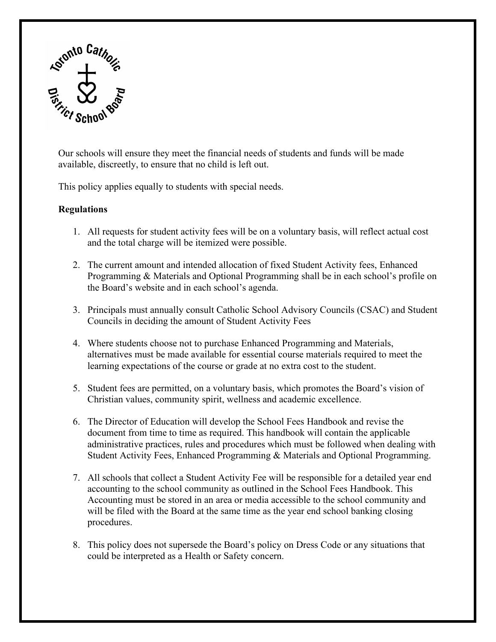

Our schools will ensure they meet the financial needs of students and funds will be made available, discreetly, to ensure that no child is left out.

This policy applies equally to students with special needs.

#### **Regulations**

- 1. All requests for student activity fees will be on a voluntary basis, will reflect actual cost and the total charge will be itemized were possible.
- 2. The current amount and intended allocation of fixed Student Activity fees, Enhanced Programming & Materials and Optional Programming shall be in each school's profile on the Board's website and in each school's agenda.
- 3. Principals must annually consult Catholic School Advisory Councils (CSAC) and Student Councils in deciding the amount of Student Activity Fees
- 4. Where students choose not to purchase Enhanced Programming and Materials, alternatives must be made available for essential course materials required to meet the learning expectations of the course or grade at no extra cost to the student.
- 5. Student fees are permitted, on a voluntary basis, which promotes the Board's vision of Christian values, community spirit, wellness and academic excellence.
- 6. The Director of Education will develop the School Fees Handbook and revise the document from time to time as required. This handbook will contain the applicable administrative practices, rules and procedures which must be followed when dealing with Student Activity Fees, Enhanced Programming & Materials and Optional Programming.
- 7. All schools that collect a Student Activity Fee will be responsible for a detailed year end accounting to the school community as outlined in the School Fees Handbook. This Accounting must be stored in an area or media accessible to the school community and will be filed with the Board at the same time as the year end school banking closing procedures.
- 8. This policy does not supersede the Board's policy on Dress Code or any situations that could be interpreted as a Health or Safety concern.